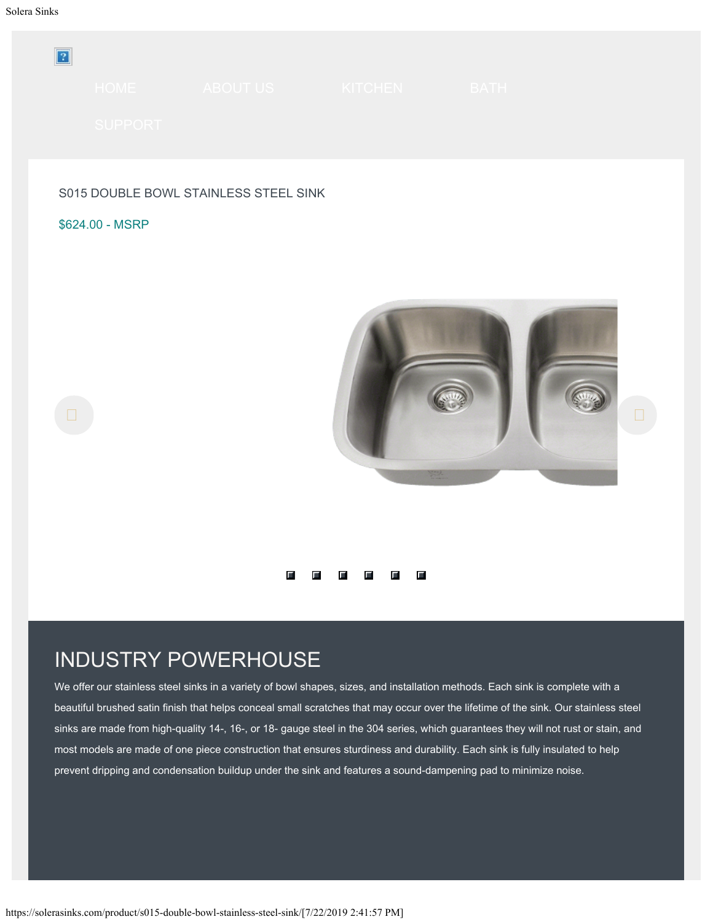<span id="page-0-0"></span>

|                 | HOME ABOUT US ARRIVED A SERVICE AND LODGE | KITCHEN | <b>BATH</b> |  |
|-----------------|-------------------------------------------|---------|-------------|--|
| <b>SUPPORT</b>  |                                           |         |             |  |
|                 |                                           |         |             |  |
|                 | S015 DOUBLE BOWL STAINLESS STEEL SINK     |         |             |  |
| \$624.00 - MSRP |                                           |         |             |  |



#### 1 2 3 4 5 <del>6 7</del>

#### INDUSTRY POWERHOUSE

We offer our stainless steel sinks in a variety of bowl shapes, sizes, and installation methods. Each sink is complete with a beautiful brushed satin finish that helps conceal small scratches that may occur over the lifetime of the sink. Our stainless steel sinks are made from high-quality 14-, 16-, or 18- gauge steel in the 304 series, which guarantees they will not rust or stain, and most models are made of one piece construction that ensures sturdiness and durability. Each sink is fully insulated to help prevent dripping and condensation buildup under the sink and features a sound-dampening pad to minimize noise.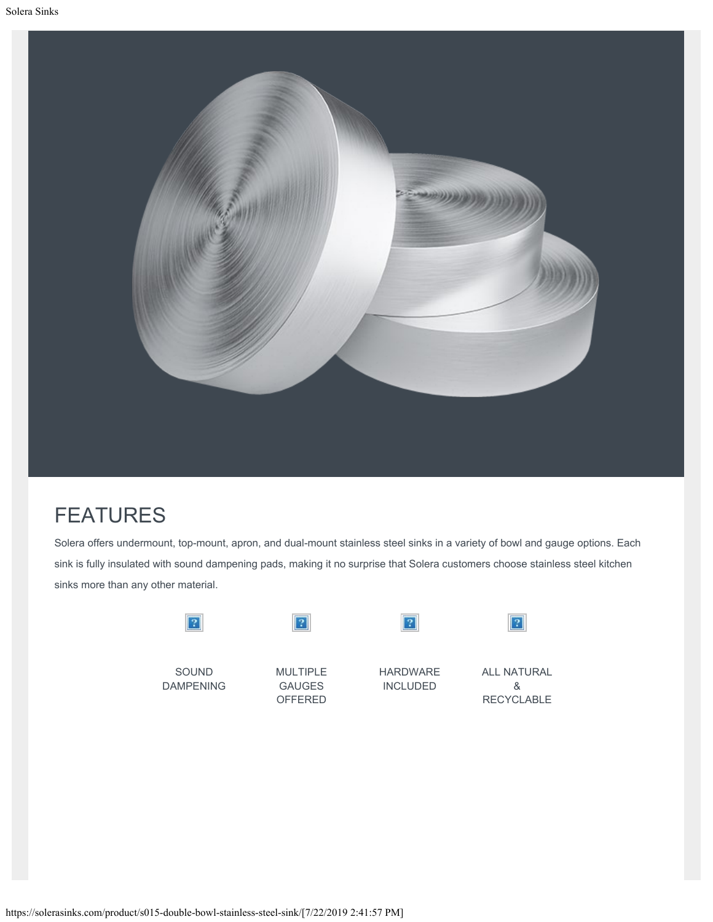

### FEATURES

Solera offers undermount, top-mount, apron, and dual-mount stainless steel sinks in a variety of bowl and gauge options. Each sink is fully insulated with sound dampening pads, making it no surprise that Solera customers choose stainless steel kitchen sinks more than any other material.

| SOUND            | <b>MULTIPLE</b> | <b>HARDWARE</b> | <b>ALL NATURAL</b> |
|------------------|-----------------|-----------------|--------------------|
| <b>DAMPENING</b> | <b>GAUGES</b>   | <b>INCLUDED</b> | &                  |

RECYCLABLE

OFFERED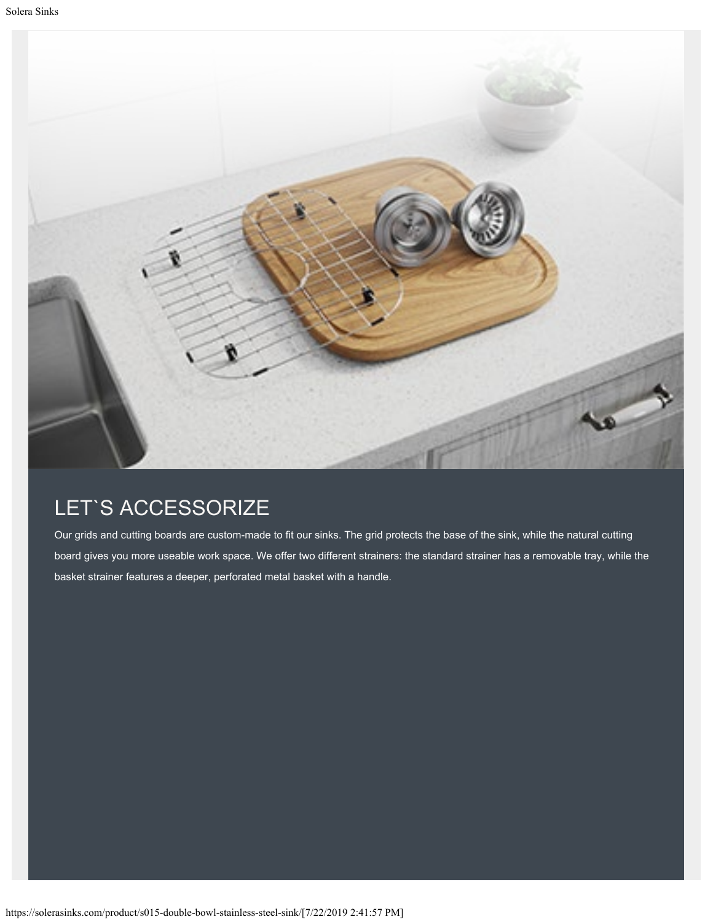

### LET`S ACCESSORIZE

Our grids and cutting boards are custom-made to fit our sinks. The grid protects the base of the sink, while the natural cutting board gives you more useable work space. We offer two different strainers: the standard strainer has a removable tray, while the basket strainer features a deeper, perforated metal basket with a handle.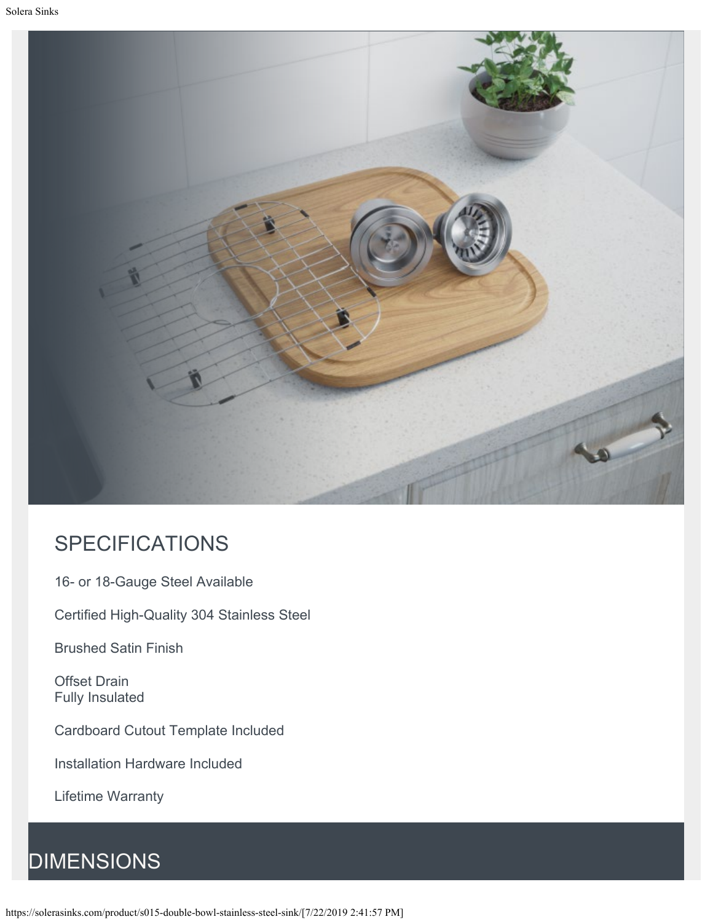

#### SPECIFICATIONS

16- or 18-Gauge Steel Available

Certified High-Quality 304 Stainless Steel

Brushed Satin Finish

Offset Drain Fully Insulated

Cardboard Cutout Template Included

Installation Hardware Included

Lifetime Warranty

## **DIMENSIONS**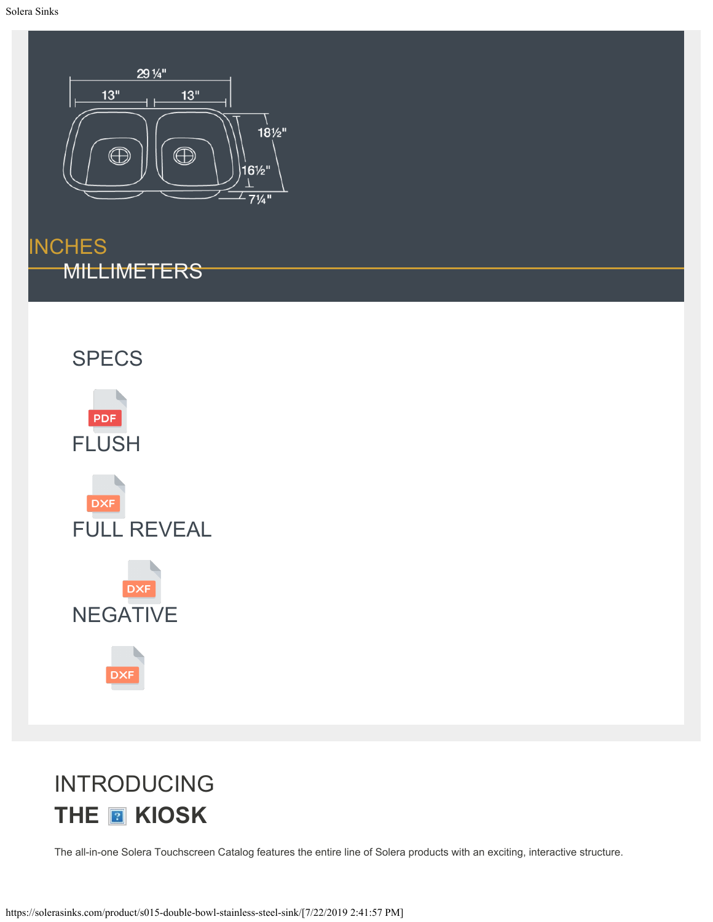<span id="page-4-0"></span>

**[INCHES](#page-4-0)** [MILLIMETERS](#page-0-0)



# INTRODUCING **THE <b>R** KIOSK

The all-in-one Solera Touchscreen Catalog features the entire line of Solera products with an exciting, interactive structure.